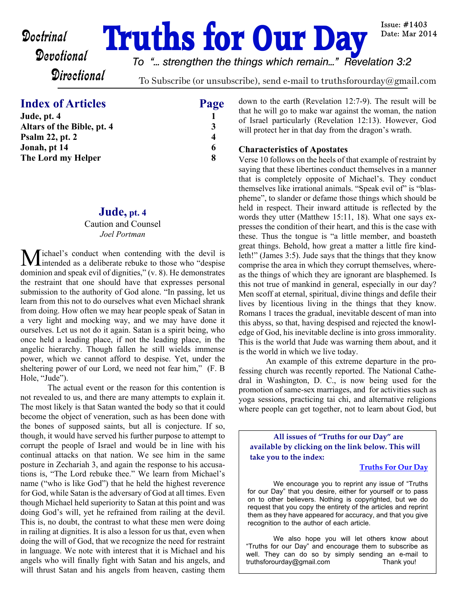# **Doctrinal Truths for Our Day**

Issue:  $\#1403$ Date: Mar 2014

## **Directional**

*To "... strengthen the things which remain..." Revelation 3:2*

To Subscribe (or unsubscribe), send e-mail to truthsforourday@gmail.com

#### **Index of Articles** Page

| Jude, pt. 4                |   |
|----------------------------|---|
| Altars of the Bible, pt. 4 | 3 |
| <b>Psalm 22, pt. 2</b>     | 4 |
| Jonah, pt 14               | 6 |
| The Lord my Helper         | 8 |
|                            |   |

#### **Jude, pt. 4**

#### Caution and Counsel *Joel Portman*

Michael's conduct when contending with the devil is **L**intended as a deliberate rebuke to those who "despise" dominion and speak evil of dignities," (v. 8). He demonstrates the restraint that one should have that expresses personal submission to the authority of God alone. "In passing, let us learn from this not to do ourselves what even Michael shrank from doing. How often we may hear people speak of Satan in a very light and mocking way, and we may have done it ourselves. Let us not do it again. Satan is a spirit being, who once held a leading place, if not the leading place, in the angelic hierarchy. Though fallen he still wields immense power, which we cannot afford to despise. Yet, under the sheltering power of our Lord, we need not fear him," (F. B Hole, "Jude").

 The actual event or the reason for this contention is not revealed to us, and there are many attempts to explain it. The most likely is that Satan wanted the body so that it could become the object of veneration, such as has been done with the bones of supposed saints, but all is conjecture. If so, though, it would have served his further purpose to attempt to corrupt the people of Israel and would be in line with his continual attacks on that nation. We see him in the same posture in Zechariah 3, and again the response to his accusations is, "The Lord rebuke thee." We learn from Michael's name ("who is like God") that he held the highest reverence for God, while Satan is the adversary of God at all times. Even though Michael held superiority to Satan at this point and was doing God's will, yet he refrained from railing at the devil. This is, no doubt, the contrast to what these men were doing in railing at dignities. It is also a lesson for us that, even when doing the will of God, that we recognize the need for restraint in language. We note with interest that it is Michael and his angels who will finally fight with Satan and his angels, and will thrust Satan and his angels from heaven, casting them down to the earth (Revelation 12:7-9). The result will be that he will go to make war against the woman, the nation of Israel particularly (Revelation 12:13). However, God will protect her in that day from the dragon's wrath.

#### **Characteristics of Apostates**

Verse 10 follows on the heels of that example of restraint by saying that these libertines conduct themselves in a manner that is completely opposite of Michael's. They conduct themselves like irrational animals. "Speak evil of" is "blaspheme", to slander or defame those things which should be held in respect. Their inward attitude is reflected by the words they utter (Matthew 15:11, 18). What one says expresses the condition of their heart, and this is the case with these. Thus the tongue is "a little member, and boasteth great things. Behold, how great a matter a little fire kindleth!" (James 3:5). Jude says that the things that they know comprise the area in which they corrupt themselves, whereas the things of which they are ignorant are blasphemed. Is this not true of mankind in general, especially in our day? Men scoff at eternal, spiritual, divine things and defile their lives by licentious living in the things that they know. Romans 1 traces the gradual, inevitable descent of man into this abyss, so that, having despised and rejected the knowledge of God, his inevitable decline is into gross immorality. This is the world that Jude was warning them about, and it is the world in which we live today.

 An example of this extreme departure in the professing church was recently reported. The National Cathedral in Washington, D. C., is now being used for the promotion of same-sex marriages, and for activities such as yoga sessions, practicing tai chi, and alternative religions where people can get together, not to learn about God, but

**All issues of "Truths for our Day" are available by clicking on the link below. This will take you to the index:**

#### **[Truths For Our Day](http://truthsforourday.com)**

 We encourage you to reprint any issue of "Truths for our Day" that you desire, either for yourself or to pass on to other believers. Nothing is copyrighted, but we do request that you copy the entirety of the articles and reprint them as they have appeared for accuracy, and that you give recognition to the author of each article.

 We also hope you will let others know about "Truths for our Day" and encourage them to subscribe as well. They can do so by simply sending an e-mail to truthsforourday@gmail.com Thank you!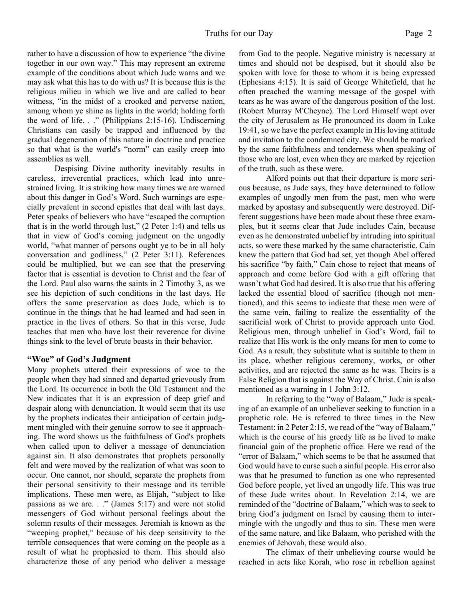rather to have a discussion of how to experience "the divine together in our own way." This may represent an extreme example of the conditions about which Jude warns and we may ask what this has to do with us? It is because this is the religious milieu in which we live and are called to bear witness, "in the midst of a crooked and perverse nation, among whom ye shine as lights in the world; holding forth the word of life. . ." (Philippians 2:15-16). Undiscerning Christians can easily be trapped and influenced by the gradual degeneration of this nature in doctrine and practice so that what is the world's "norm" can easily creep into assemblies as well.

 Despising Divine authority inevitably results in careless, irreverential practices, which lead into unrestrained living. It is striking how many times we are warned about this danger in God's Word. Such warnings are especially prevalent in second epistles that deal with last days. Peter speaks of believers who have "escaped the corruption that is in the world through lust," (2 Peter 1:4) and tells us that in view of God's coming judgment on the ungodly world, "what manner of persons ought ye to be in all holy conversation and godliness," (2 Peter 3:11). References could be multiplied, but we can see that the preserving factor that is essential is devotion to Christ and the fear of the Lord. Paul also warns the saints in 2 Timothy 3, as we see his depiction of such conditions in the last days. He offers the same preservation as does Jude, which is to continue in the things that he had learned and had seen in practice in the lives of others. So that in this verse, Jude teaches that men who have lost their reverence for divine things sink to the level of brute beasts in their behavior.

#### **"Woe" of God's Judgment**

Many prophets uttered their expressions of woe to the people when they had sinned and departed grievously from the Lord. Its occurrence in both the Old Testament and the New indicates that it is an expression of deep grief and despair along with denunciation. It would seem that its use by the prophets indicates their anticipation of certain judgment mingled with their genuine sorrow to see it approaching. The word shows us the faithfulness of God's prophets when called upon to deliver a message of denunciation against sin. It also demonstrates that prophets personally felt and were moved by the realization of what was soon to occur. One cannot, nor should, separate the prophets from their personal sensitivity to their message and its terrible implications. These men were, as Elijah, "subject to like passions as we are. . ." (James 5:17) and were not stolid messengers of God without personal feelings about the solemn results of their messages. Jeremiah is known as the "weeping prophet," because of his deep sensitivity to the terrible consequences that were coming on the people as a result of what he prophesied to them. This should also characterize those of any period who deliver a message from God to the people. Negative ministry is necessary at times and should not be despised, but it should also be spoken with love for those to whom it is being expressed (Ephesians 4:15). It is said of George Whitefield, that he often preached the warning message of the gospel with tears as he was aware of the dangerous position of the lost. (Robert Murray M'Cheyne). The Lord Himself wept over the city of Jerusalem as He pronounced its doom in Luke 19:41, so we have the perfect example in His loving attitude and invitation to the condemned city. We should be marked by the same faithfulness and tenderness when speaking of those who are lost, even when they are marked by rejection of the truth, such as these were.

 Alford points out that their departure is more serious because, as Jude says, they have determined to follow examples of ungodly men from the past, men who were marked by apostasy and subsequently were destroyed. Different suggestions have been made about these three examples, but it seems clear that Jude includes Cain, because even as he demonstrated unbelief by intruding into spiritual acts, so were these marked by the same characteristic. Cain knew the pattern that God had set, yet though Abel offered his sacrifice "by faith," Cain chose to reject that means of approach and come before God with a gift offering that wasn't what God had desired. It is also true that his offering lacked the essential blood of sacrifice (though not mentioned), and this seems to indicate that these men were of the same vein, failing to realize the essentiality of the sacrificial work of Christ to provide approach unto God. Religious men, through unbelief in God's Word, fail to realize that His work is the only means for men to come to God. As a result, they substitute what is suitable to them in its place, whether religious ceremony, works, or other activities, and are rejected the same as he was. Theirs is a False Religion that is against the Way of Christ. Cain is also mentioned as a warning in 1 John 3:12.

 In referring to the "way of Balaam," Jude is speaking of an example of an unbeliever seeking to function in a prophetic role. He is referred to three times in the New Testament: in 2 Peter 2:15, we read of the "way of Balaam," which is the course of his greedy life as he lived to make financial gain of the prophetic office. Here we read of the "error of Balaam," which seems to be that he assumed that God would have to curse such a sinful people. His error also was that he presumed to function as one who represented God before people, yet lived an ungodly life. This was true of these Jude writes about. In Revelation 2:14, we are reminded of the "doctrine of Balaam," which was to seek to bring God's judgment on Israel by causing them to intermingle with the ungodly and thus to sin. These men were of the same nature, and like Balaam, who perished with the enemies of Jehovah, these would also.

 The climax of their unbelieving course would be reached in acts like Korah, who rose in rebellion against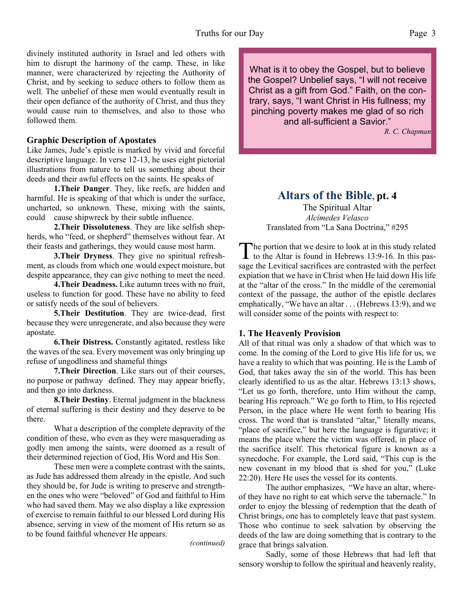divinely instituted authority in Israel and led others with him to disrupt the harmony of the camp. These, in like manner, were characterized by rejecting the Authority of Christ, and by seeking to seduce others to follow them as well. The unbelief of these men would eventually result in their open defiance of the authority of Christ, and thus they would cause ruin to themselves, and also to those who followed them.

#### **Graphic Description of Apostates**

Like James, Jude's epistle is marked by vivid and forceful descriptive language. In verse 12-13, he uses eight pictorial illustrations from nature to tell us something about their deeds and their awful effects on the saints. He speaks of

**1.Their Danger**. They, like reefs, are hidden and harmful. He is speaking of that which is under the surface, uncharted, so unknown. These, mixing with the saints, could cause shipwreck by their subtle influence.

**2.Their Dissoluteness**. They are like selfish shepherds, who "feed, or shepherd" themselves without fear. At their feasts and gatherings, they would cause most harm.

**3.Their Dryness**. They give no spiritual refreshment, as clouds from which one would expect moisture, but despite appearance, they can give nothing to meet the need.

**4.Their Deadness.** Like autumn trees with no fruit, useless to function for good. These have no ability to feed or satisfy needs of the soul of believers.

**5.Their Destitution**. They are twice-dead, first because they were unregenerate, and also because they were apostate.

**6.Their Distress.** Constantly agitated, restless like the waves of the sea. Every movement was only bringing up refuse of ungodliness and shameful things

**7.Their Direction**. Like stars out of their courses, no purpose or pathway defined. They may appear briefly, and then go into darkness.

**8.Their Destiny**. Eternal judgment in the blackness of eternal suffering is their destiny and they deserve to be there.

 What a description of the complete depravity of the condition of these, who even as they were masquerading as godly men among the saints, were doomed as a result of their determined rejection of God, His Word and His Son.

 These men were a complete contrast with the saints, as Jude has addressed them already in the epistle. And such they should be, for Jude is writing to preserve and strengthen the ones who were "beloved" of God and faithful to Him who had saved them. May we also display a like expression of exercise to remain faithful to our blessed Lord during His absence, serving in view of the moment of His return so as to be found faithful whenever He appears.

*(continued)*

What is it to obey the Gospel, but to believe the Gospel? Unbelief says, "I will not receive Christ as a gift from God." Faith, on the contrary, says, "I want Christ in His fullness; my pinching poverty makes me glad of so rich and all-sufficient a Savior."

*R. C. Chapman*

#### **Altars of the Bible, pt. 4**

The Spiritual Altar *Alcímedes Velasco* Translated from "La Sana Doctrina," #295

The portion that we desire to look at in this study related<br>to the Altar is found in Hebrews 13:9-16. In this pashe portion that we desire to look at in this study related sage the Levitical sacrifices are contrasted with the perfect expiation that we have in Christ when He laid down His life at the "altar of the cross." In the middle of the ceremonial context of the passage, the author of the epistle declares emphatically, "We have an altar . . . (Hebrews 13:9), and we will consider some of the points with respect to:

#### **1. The Heavenly Provision**

All of that ritual was only a shadow of that which was to come. In the coming of the Lord to give His life for us, we have a reality to which that was pointing. He is the Lamb of God, that takes away the sin of the world. This has been clearly identified to us as the altar. Hebrews 13:13 shows, "Let us go forth, therefore, unto Him without the camp, bearing His reproach." We go forth to Him, to His rejected Person, in the place where He went forth to bearing His cross. The word that is translated "altar," literally means, "place of sacrifice," but here the language is figurative; it means the place where the victim was offered, in place of the sacrifice itself. This rhetorical figure is known as a synecdoche. For example, the Lord said, "This cup is the new covenant in my blood that is shed for you," (Luke 22:20). Here He uses the vessel for its contents.

 The author emphasizes, "We have an altar, whereof they have no right to eat which serve the tabernacle." In order to enjoy the blessing of redemption that the death of Christ brings, one has to completely leave that past system. Those who continue to seek salvation by observing the deeds of the law are doing something that is contrary to the grace that brings salvation.

 Sadly, some of those Hebrews that had left that sensory worship to follow the spiritual and heavenly reality,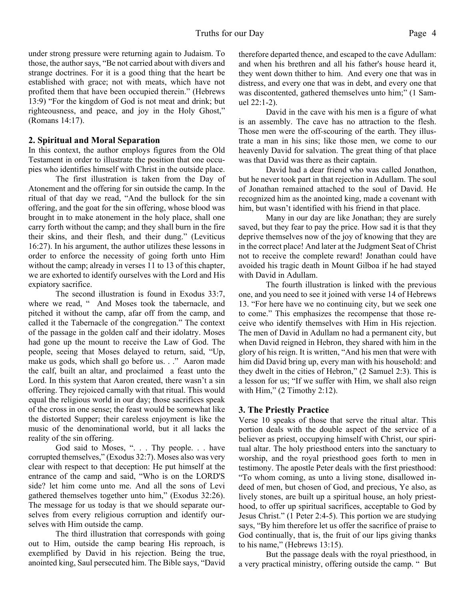under strong pressure were returning again to Judaism. To those, the author says, "Be not carried about with divers and strange doctrines. For it is a good thing that the heart be established with grace; not with meats, which have not profited them that have been occupied therein." (Hebrews 13:9) "For the kingdom of God is not meat and drink; but righteousness, and peace, and joy in the Holy Ghost," (Romans 14:17).

#### **2. Spiritual and Moral Separation**

In this context, the author employs figures from the Old Testament in order to illustrate the position that one occupies who identifies himself with Christ in the outside place.

 The first illustration is taken from the Day of Atonement and the offering for sin outside the camp. In the ritual of that day we read, "And the bullock for the sin offering, and the goat for the sin offering, whose blood was brought in to make atonement in the holy place, shall one carry forth without the camp; and they shall burn in the fire their skins, and their flesh, and their dung." (Leviticus 16:27). In his argument, the author utilizes these lessons in order to enforce the necessity of going forth unto Him without the camp; already in verses 11 to 13 of this chapter, we are exhorted to identify ourselves with the Lord and His expiatory sacrifice.

 The second illustration is found in Exodus 33:7, where we read, " And Moses took the tabernacle, and pitched it without the camp, afar off from the camp, and called it the Tabernacle of the congregation." The context of the passage in the golden calf and their idolatry. Moses had gone up the mount to receive the Law of God. The people, seeing that Moses delayed to return, said, "Up, make us gods, which shall go before us. . ." Aaron made the calf, built an altar, and proclaimed a feast unto the Lord. In this system that Aaron created, there wasn't a sin offering. They rejoiced carnally with that ritual. This would equal the religious world in our day; those sacrifices speak of the cross in one sense; the feast would be somewhat like the distorted Supper; their careless enjoyment is like the music of the denominational world, but it all lacks the reality of the sin offering.

God said to Moses, ". . . Thy people. . . have corrupted themselves," (Exodus 32:7). Moses also was very clear with respect to that deception: He put himself at the entrance of the camp and said, "Who is on the LORD'S side? let him come unto me. And all the sons of Levi gathered themselves together unto him," (Exodus 32:26). The message for us today is that we should separate ourselves from every religious corruption and identify ourselves with Him outside the camp.

 The third illustration that corresponds with going out to Him, outside the camp bearing His reproach, is exemplified by David in his rejection. Being the true, anointed king, Saul persecuted him. The Bible says, "David

therefore departed thence, and escaped to the cave Adullam: and when his brethren and all his father's house heard it, they went down thither to him. And every one that was in distress, and every one that was in debt, and every one that was discontented, gathered themselves unto him;" (1 Samuel 22:1-2).

 David in the cave with his men is a figure of what is an assembly. The cave has no attraction to the flesh. Those men were the off-scouring of the earth. They illustrate a man in his sins; like those men, we come to our heavenly David for salvation. The great thing of that place was that David was there as their captain.

 David had a dear friend who was called Jonathon, but he never took part in that rejection in Adullam. The soul of Jonathan remained attached to the soul of David. He recognized him as the anointed king, made a covenant with him, but wasn't identified with his friend in that place.

 Many in our day are like Jonathan; they are surely saved, but they fear to pay the price. How sad it is that they deprive themselves now of the joy of knowing that they are in the correct place! And later at the Judgment Seat of Christ not to receive the complete reward! Jonathan could have avoided his tragic death in Mount Gilboa if he had stayed with David in Adullam.

 The fourth illustration is linked with the previous one, and you need to see it joined with verse 14 of Hebrews 13. "For here have we no continuing city, but we seek one to come." This emphasizes the recompense that those receive who identify themselves with Him in His rejection. The men of David in Adullam no had a permanent city, but when David reigned in Hebron, they shared with him in the glory of his reign. It is written, "And his men that were with him did David bring up, every man with his household: and they dwelt in the cities of Hebron," (2 Samuel 2:3). This is a lesson for us; "If we suffer with Him, we shall also reign with Him,"  $(2$  Timothy 2:12).

#### **3. The Priestly Practice**

Verse 10 speaks of those that serve the ritual altar. This portion deals with the double aspect of the service of a believer as priest, occupying himself with Christ, our spiritual altar. The holy priesthood enters into the sanctuary to worship, and the royal priesthood goes forth to men in testimony. The apostle Peter deals with the first priesthood: "To whom coming, as unto a living stone, disallowed indeed of men, but chosen of God, and precious, Ye also, as lively stones, are built up a spiritual house, an holy priesthood, to offer up spiritual sacrifices, acceptable to God by Jesus Christ." (1 Peter 2:4-5). This portion we are studying says, "By him therefore let us offer the sacrifice of praise to God continually, that is, the fruit of our lips giving thanks to his name," (Hebrews 13:15).

 But the passage deals with the royal priesthood, in a very practical ministry, offering outside the camp. " But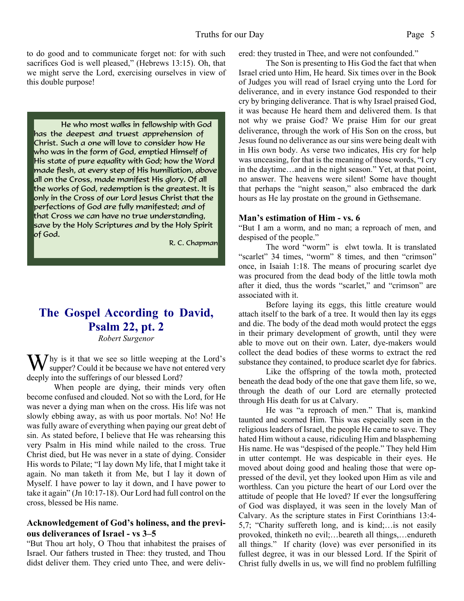to do good and to communicate forget not: for with such sacrifices God is well pleased," (Hebrews 13:15). Oh, that we might serve the Lord, exercising ourselves in view of this double purpose!

He who most walks in fellowship with God has the deepest and truest apprehension of Christ. Such a one will love to consider how He who was in the form of God, emptied Himself of His state of pure equality with God; how the Word made flesh, at every step of His humiliation, above all on the Cross, made manifest His glory. Of all the works of God, redemption is the greatest. It is only in the Cross of our Lord Jesus Christ that the perfections of God are fully manifested; and of that Cross we can have no true understanding, save by the Holy Scriptures and by the Holy Spirit of God.

R. C. Chapman

### **The Gospel According to David, Psalm 22, pt. 2**

*Robert Surgenor*

 $\sum f$ hy is it that we see so little weeping at the Lord's supper? Could it be because we have not entered very deeply into the sufferings of our blessed Lord?

 When people are dying, their minds very often become confused and clouded. Not so with the Lord, for He was never a dying man when on the cross. His life was not slowly ebbing away, as with us poor mortals. No! No! He was fully aware of everything when paying our great debt of sin. As stated before, I believe that He was rehearsing this very Psalm in His mind while nailed to the cross. True Christ died, but He was never in a state of dying. Consider His words to Pilate; "I lay down My life, that I might take it again. No man taketh it from Me, but I lay it down of Myself. I have power to lay it down, and I have power to take it again" (Jn 10:17-18). Our Lord had full control on the cross, blessed be His name.

#### **Acknowledgement of God's holiness, and the previous deliverances of Israel - vs 3–5**

"But Thou art holy, O Thou that inhabitest the praises of Israel. Our fathers trusted in Thee: they trusted, and Thou didst deliver them. They cried unto Thee, and were delivered: they trusted in Thee, and were not confounded."

 The Son is presenting to His God the fact that when Israel cried unto Him, He heard. Six times over in the Book of Judges you will read of Israel crying unto the Lord for deliverance, and in every instance God responded to their cry by bringing deliverance. That is why Israel praised God, it was because He heard them and delivered them. Is that not why we praise God? We praise Him for our great deliverance, through the work of His Son on the cross, but Jesus found no deliverance as our sins were being dealt with in His own body. As verse two indicates, His cry for help was unceasing, for that is the meaning of those words, "I cry in the daytime…and in the night season." Yet, at that point, no answer. The heavens were silent! Some have thought that perhaps the "night season," also embraced the dark hours as He lay prostate on the ground in Gethsemane.

#### **Man's estimation of Him - vs. 6**

"But I am a worm, and no man; a reproach of men, and despised of the people."

 The word "worm" is elwt towla. It is translated "scarlet" 34 times, "worm" 8 times, and then "crimson" once, in Isaiah 1:18. The means of procuring scarlet dye was procured from the dead body of the little towla moth after it died, thus the words "scarlet," and "crimson" are associated with it.

 Before laying its eggs, this little creature would attach itself to the bark of a tree. It would then lay its eggs and die. The body of the dead moth would protect the eggs in their primary development of growth, until they were able to move out on their own. Later, dye-makers would collect the dead bodies of these worms to extract the red substance they contained, to produce scarlet dye for fabrics.

 Like the offspring of the towla moth, protected beneath the dead body of the one that gave them life, so we, through the death of our Lord are eternally protected through His death for us at Calvary.

 He was "a reproach of men." That is, mankind taunted and scorned Him. This was especially seen in the religious leaders of Israel, the people He came to save. They hated Him without a cause, ridiculing Him and blaspheming His name. He was "despised of the people." They held Him in utter contempt. He was despicable in their eyes. He moved about doing good and healing those that were oppressed of the devil, yet they looked upon Him as vile and worthless. Can you picture the heart of our Lord over the attitude of people that He loved? If ever the longsuffering of God was displayed, it was seen in the lovely Man of Calvary. As the scripture states in First Corinthians 13:4- 5,7; "Charity suffereth long, and is kind;…is not easily provoked, thinketh no evil;…beareth all things,…endureth all things." If charity (love) was ever personified in its fullest degree, it was in our blessed Lord. If the Spirit of Christ fully dwells in us, we will find no problem fulfilling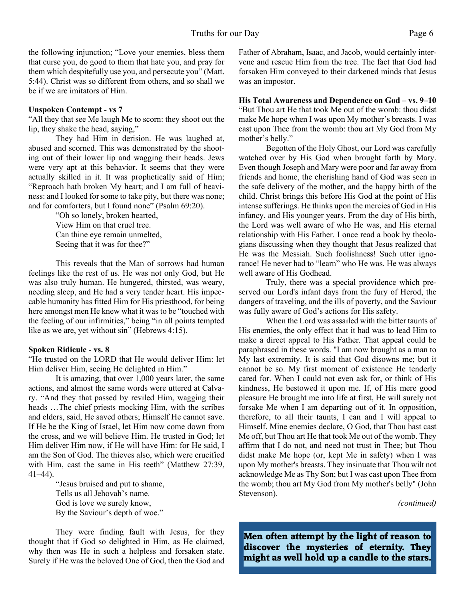the following injunction; "Love your enemies, bless them that curse you, do good to them that hate you, and pray for them which despitefully use you, and persecute you" (Matt. 5:44). Christ was so different from others, and so shall we be if we are imitators of Him.

#### **Unspoken Contempt - vs 7**

"All they that see Me laugh Me to scorn: they shoot out the lip, they shake the head, saying,"

 They had Him in derision. He was laughed at, abused and scorned. This was demonstrated by the shooting out of their lower lip and wagging their heads. Jews were very apt at this behavior. It seems that they were actually skilled in it. It was prophetically said of Him; "Reproach hath broken My heart; and I am full of heaviness: and I looked for some to take pity, but there was none; and for comforters, but I found none" (Psalm 69:20).

> "Oh so lonely, broken hearted, View Him on that cruel tree. Can thine eye remain unmelted, Seeing that it was for thee?"

This reveals that the Man of sorrows had human feelings like the rest of us. He was not only God, but He was also truly human. He hungered, thirsted, was weary, needing sleep, and He had a very tender heart. His impeccable humanity has fitted Him for His priesthood, for being here amongst men He knew what it was to be "touched with the feeling of our infirmities," being "in all points tempted like as we are, yet without sin" (Hebrews 4:15).

#### **Spoken Ridicule - vs. 8**

"He trusted on the LORD that He would deliver Him: let Him deliver Him, seeing He delighted in Him."

 It is amazing, that over 1,000 years later, the same actions, and almost the same words were uttered at Calvary. "And they that passed by reviled Him, wagging their heads …The chief priests mocking Him, with the scribes and elders, said, He saved others; Himself He cannot save. If He be the King of Israel, let Him now come down from the cross, and we will believe Him. He trusted in God; let Him deliver Him now, if He will have Him: for He said, I am the Son of God. The thieves also, which were crucified with Him, cast the same in His teeth" (Matthew 27:39, 41–44).

> "Jesus bruised and put to shame, Tells us all Jehovah's name. God is love we surely know, By the Saviour's depth of woe."

 They were finding fault with Jesus, for they thought that if God so delighted in Him, as He claimed, why then was He in such a helpless and forsaken state. Surely if He was the beloved One of God, then the God and Father of Abraham, Isaac, and Jacob, would certainly intervene and rescue Him from the tree. The fact that God had forsaken Him conveyed to their darkened minds that Jesus was an impostor.

**His Total Awareness and Dependence on God – vs. 9–10** "But Thou art He that took Me out of the womb: thou didst make Me hope when I was upon My mother's breasts. I was cast upon Thee from the womb: thou art My God from My mother's belly."

 Begotten of the Holy Ghost, our Lord was carefully watched over by His God when brought forth by Mary. Even though Joseph and Mary were poor and far away from friends and home, the cherishing hand of God was seen in the safe delivery of the mother, and the happy birth of the child. Christ brings this before His God at the point of His intense sufferings. He thinks upon the mercies of God in His infancy, and His younger years. From the day of His birth, the Lord was well aware of who He was, and His eternal relationship with His Father. I once read a book by theologians discussing when they thought that Jesus realized that He was the Messiah. Such foolishness! Such utter ignorance! He never had to "learn" who He was. He was always well aware of His Godhead.

 Truly, there was a special providence which preserved our Lord's infant days from the fury of Herod, the dangers of traveling, and the ills of poverty, and the Saviour was fully aware of God's actions for His safety.

 When the Lord was assailed with the bitter taunts of His enemies, the only effect that it had was to lead Him to make a direct appeal to His Father. That appeal could be paraphrased in these words. "I am now brought as a man to My last extremity. It is said that God disowns me; but it cannot be so. My first moment of existence He tenderly cared for. When I could not even ask for, or think of His kindness, He bestowed it upon me. If, of His mere good pleasure He brought me into life at first, He will surely not forsake Me when I am departing out of it. In opposition, therefore, to all their taunts, I can and I will appeal to Himself. Mine enemies declare, O God, that Thou hast cast Me off, but Thou art He that took Me out of the womb. They affirm that I do not, and need not trust in Thee; but Thou didst make Me hope (or, kept Me in safety) when I was upon My mother's breasts. They insinuate that Thou wilt not acknowledge Me as Thy Son; but I was cast upon Thee from the womb; thou art My God from My mother's belly" (John Stevenson).

*(continued)*

**Men often attempt by the light of reason to discover the mysteries of eternity. They might as well hold up a candle to the stars.**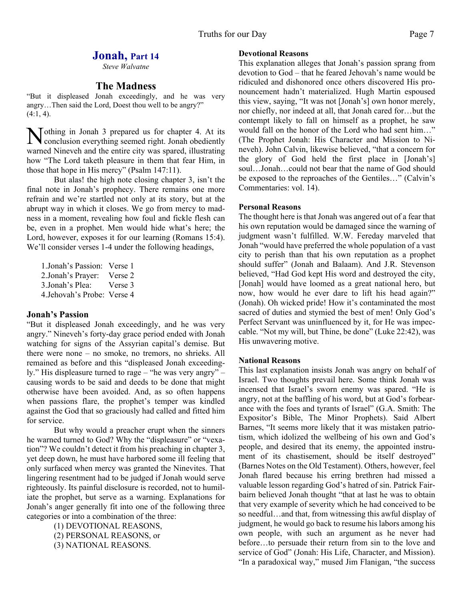#### **Jonah, Part 14**

*Steve Walvatne*

#### **The Madness**

"But it displeased Jonah exceedingly, and he was very angry…Then said the Lord, Doest thou well to be angry?"  $(4:1, 4)$ .

**N** othing in Jonah 3 prepared us for chapter 4. At its conclusion everything seemed right. Jonah obediently conclusion everything seemed right. Jonah obediently warned Nineveh and the entire city was spared, illustrating how "The Lord taketh pleasure in them that fear Him, in those that hope in His mercy" (Psalm 147:11).

But alas! the high note closing chapter 3, isn't the final note in Jonah's prophecy. There remains one more refrain and we're startled not only at its story, but at the abrupt way in which it closes. We go from mercy to madness in a moment, revealing how foul and fickle flesh can be, even in a prophet. Men would hide what's here; the Lord, however, exposes it for our learning (Romans 15:4). We'll consider verses 1-4 under the following headings,

1.Jonah's Passion: Verse 1 2.Jonah's Prayer: Verse 2 3.Jonah's Plea: Verse 3 4.Jehovah's Probe: Verse 4

#### **Jonah's Passion**

"But it displeased Jonah exceedingly, and he was very angry." Nineveh's forty-day grace period ended with Jonah watching for signs of the Assyrian capital's demise. But there were none – no smoke, no tremors, no shrieks. All remained as before and this "displeased Jonah exceedingly." His displeasure turned to rage – "he was very angry" – causing words to be said and deeds to be done that might otherwise have been avoided. And, as so often happens when passions flare, the prophet's temper was kindled against the God that so graciously had called and fitted him for service.

But why would a preacher erupt when the sinners he warned turned to God? Why the "displeasure" or "vexation"? We couldn't detect it from his preaching in chapter 3, yet deep down, he must have harbored some ill feeling that only surfaced when mercy was granted the Ninevites. That lingering resentment had to be judged if Jonah would serve righteously. Its painful disclosure is recorded, not to humiliate the prophet, but serve as a warning. Explanations for Jonah's anger generally fit into one of the following three categories or into a combination of the three:

> (1) DEVOTIONAL REASONS, (2) PERSONAL REASONS, or (3) NATIONAL REASONS.

#### **Devotional Reasons**

This explanation alleges that Jonah's passion sprang from devotion to God – that he feared Jehovah's name would be ridiculed and dishonored once others discovered His pronouncement hadn't materialized. Hugh Martin espoused this view, saying, "It was not [Jonah's] own honor merely, nor chiefly, nor indeed at all, that Jonah cared for…but the contempt likely to fall on himself as a prophet, he saw would fall on the honor of the Lord who had sent him…" (The Prophet Jonah: His Character and Mission to Nineveh). John Calvin, likewise believed, "that a concern for the glory of God held the first place in [Jonah's] soul…Jonah…could not bear that the name of God should be exposed to the reproaches of the Gentiles…" (Calvin's Commentaries: vol. 14).

#### **Personal Reasons**

The thought here is that Jonah was angered out of a fear that his own reputation would be damaged since the warning of judgment wasn't fulfilled. W.W. Fereday marveled that Jonah "would have preferred the whole population of a vast city to perish than that his own reputation as a prophet should suffer" (Jonah and Balaam). And J.R. Stevenson believed, "Had God kept His word and destroyed the city, [Jonah] would have loomed as a great national hero, but now, how would he ever dare to lift his head again?" (Jonah). Oh wicked pride! How it's contaminated the most sacred of duties and stymied the best of men! Only God's Perfect Servant was uninfluenced by it, for He was impeccable. "Not my will, but Thine, be done" (Luke 22:42), was His unwavering motive.

#### **National Reasons**

This last explanation insists Jonah was angry on behalf of Israel. Two thoughts prevail here. Some think Jonah was incensed that Israel's sworn enemy was spared. "He is angry, not at the baffling of his word, but at God's forbearance with the foes and tyrants of Israel" (G.A. Smith: The Expositor's Bible, The Minor Prophets). Said Albert Barnes, "It seems more likely that it was mistaken patriotism, which idolized the wellbeing of his own and God's people, and desired that its enemy, the appointed instrument of its chastisement, should be itself destroyed" (Barnes Notes on the Old Testament). Others, however, feel Jonah flared because his erring brethren had missed a valuable lesson regarding God's hatred of sin. Patrick Fairbairn believed Jonah thought "that at last he was to obtain that very example of severity which he had conceived to be so needful…and that, from witnessing this awful display of judgment, he would go back to resume his labors among his own people, with such an argument as he never had before…to persuade their return from sin to the love and service of God" (Jonah: His Life, Character, and Mission). "In a paradoxical way," mused Jim Flanigan, "the success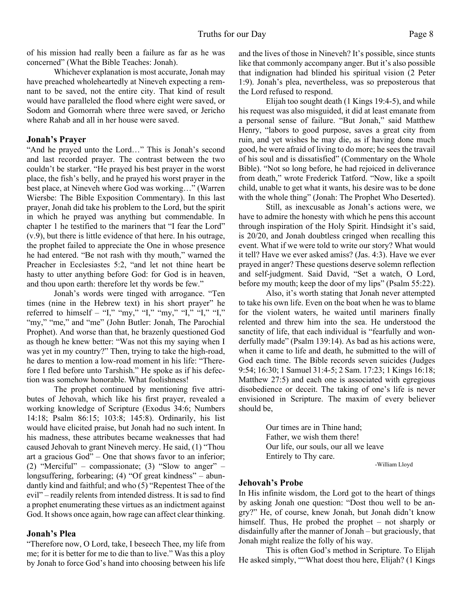of his mission had really been a failure as far as he was concerned" (What the Bible Teaches: Jonah).

Whichever explanation is most accurate, Jonah may have preached wholeheartedly at Nineveh expecting a remnant to be saved, not the entire city. That kind of result would have paralleled the flood where eight were saved, or Sodom and Gomorrah where three were saved, or Jericho where Rahab and all in her house were saved.

#### **Jonah's Prayer**

"And he prayed unto the Lord…" This is Jonah's second and last recorded prayer. The contrast between the two couldn't be starker. "He prayed his best prayer in the worst place, the fish's belly, and he prayed his worst prayer in the best place, at Nineveh where God was working…" (Warren Wiersbe: The Bible Exposition Commentary). In this last prayer, Jonah did take his problem to the Lord, but the spirit in which he prayed was anything but commendable. In chapter 1 he testified to the mariners that "I fear the Lord" (v.9), but there is little evidence of that here. In his outrage, the prophet failed to appreciate the One in whose presence he had entered. "Be not rash with thy mouth," warned the Preacher in Ecclesiastes 5:2, "and let not thine heart be hasty to utter anything before God: for God is in heaven, and thou upon earth: therefore let thy words be few."

 Jonah's words were tinged with arrogance. "Ten times (nine in the Hebrew text) in his short prayer" he referred to himself – "I," "my," "I," "my," "I," "I," "I," "my," "me," and "me" (John Butler: Jonah, The Parochial Prophet). And worse than that, he brazenly questioned God as though he knew better: "Was not this my saying when I was yet in my country?" Then, trying to take the high-road, he dares to mention a low-road moment in his life: "Therefore I fled before unto Tarshish." He spoke as if his defection was somehow honorable. What foolishness!

 The prophet continued by mentioning five attributes of Jehovah, which like his first prayer, revealed a working knowledge of Scripture (Exodus 34:6; Numbers 14:18; Psalm 86:15; 103:8; 145:8). Ordinarily, his list would have elicited praise, but Jonah had no such intent. In his madness, these attributes became weaknesses that had caused Jehovah to grant Nineveh mercy. He said, (1) "Thou art a gracious God" – One that shows favor to an inferior; (2) "Merciful" – compassionate; (3) "Slow to anger" – longsuffering, forbearing; (4) "Of great kindness" – abundantly kind and faithful; and who (5) "Repentest Thee of the evil" – readily relents from intended distress. It is sad to find a prophet enumerating these virtues as an indictment against God. It shows once again, how rage can affect clear thinking.

#### **Jonah's Plea**

"Therefore now, O Lord, take, I beseech Thee, my life from me; for it is better for me to die than to live." Was this a ploy by Jonah to force God's hand into choosing between his life and the lives of those in Nineveh? It's possible, since stunts like that commonly accompany anger. But it's also possible that indignation had blinded his spiritual vision (2 Peter 1:9). Jonah's plea, nevertheless, was so preposterous that the Lord refused to respond.

Elijah too sought death (1 Kings 19:4-5), and while his request was also misguided, it did at least emanate from a personal sense of failure. "But Jonah," said Matthew Henry, "labors to good purpose, saves a great city from ruin, and yet wishes he may die, as if having done much good, he were afraid of living to do more; he sees the travail of his soul and is dissatisfied" (Commentary on the Whole Bible). "Not so long before, he had rejoiced in deliverance from death," wrote Frederick Tatford. "Now, like a spoilt child, unable to get what it wants, his desire was to be done with the whole thing" (Jonah: The Prophet Who Deserted).

Still, as inexcusable as Jonah's actions were, we have to admire the honesty with which he pens this account through inspiration of the Holy Spirit. Hindsight it's said, is 20/20, and Jonah doubtless cringed when recalling this event. What if we were told to write our story? What would it tell? Have we ever asked amiss? (Jas. 4:3). Have we ever prayed in anger? These questions deserve solemn reflection and self-judgment. Said David, "Set a watch, O Lord, before my mouth; keep the door of my lips" (Psalm 55:22).

Also, it's worth stating that Jonah never attempted to take his own life. Even on the boat when he was to blame for the violent waters, he waited until mariners finally relented and threw him into the sea. He understood the sanctity of life, that each individual is "fearfully and wonderfully made" (Psalm 139:14). As bad as his actions were, when it came to life and death, he submitted to the will of God each time. The Bible records seven suicides (Judges 9:54; 16:30; 1 Samuel 31:4-5; 2 Sam. 17:23; 1 Kings 16:18; Matthew 27:5) and each one is associated with egregious disobedience or deceit. The taking of one's life is never envisioned in Scripture. The maxim of every believer should be,

> Our times are in Thine hand; Father, we wish them there! Our life, our souls, our all we leave Entirely to Thy care.

-William Lloyd

#### **Jehovah's Probe**

In His infinite wisdom, the Lord got to the heart of things by asking Jonah one question: "Dost thou well to be angry?" He, of course, knew Jonah, but Jonah didn't know himself. Thus, He probed the prophet – not sharply or disdainfully after the manner of Jonah – but graciously, that Jonah might realize the folly of his way.

 This is often God's method in Scripture. To Elijah He asked simply, ""What doest thou here, Elijah? (1 Kings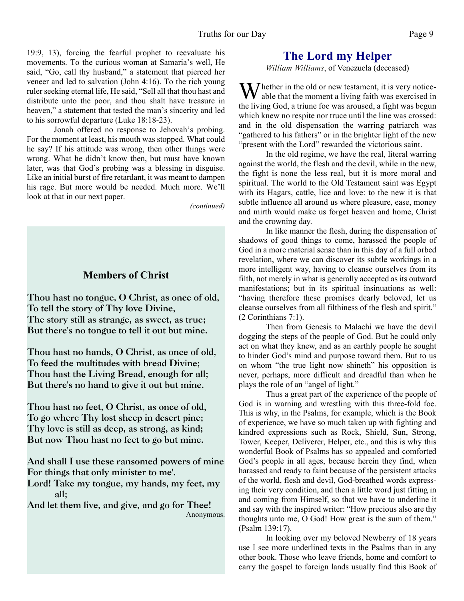19:9, 13), forcing the fearful prophet to reevaluate his movements. To the curious woman at Samaria's well, He said, "Go, call thy husband," a statement that pierced her veneer and led to salvation (John 4:16). To the rich young ruler seeking eternal life, He said, "Sell all that thou hast and distribute unto the poor, and thou shalt have treasure in heaven," a statement that tested the man's sincerity and led to his sorrowful departure (Luke 18:18-23).

 Jonah offered no response to Jehovah's probing. For the moment at least, his mouth was stopped. What could he say? If his attitude was wrong, then other things were wrong. What he didn't know then, but must have known later, was that God's probing was a blessing in disguise. Like an initial burst of fire retardant, it was meant to dampen his rage. But more would be needed. Much more. We'll look at that in our next paper.

*(continued)*

#### **Members of Christ**

**Thou hast no tongue, O Christ, as once of old, To tell the story of Thy love Divine, The story still as strange, as sweet, as true; But there's no tongue to tell it out but mine.**

**Thou hast no hands, O Christ, as once of old, To feed the multitudes with bread Divine; Thou hast the Living Bread, enough for all; But there's no hand to give it out but mine.**

**Thou hast no feet, O Christ, as once of old, To go where Thy lost sheep in desert pine; Thy love is still as deep, as strong, as kind; But now Thou hast no feet to go but mine.**

**And shall I use these ransomed powers of mine For things that only minister to me'.**

**Lord! Take my tongue, my hands, my feet, my all;**

**And let them live, and give, and go for Thee!** Anonymous.

#### **The Lord my Helper**

*William Williams*, of Venezuela (deceased)

 $\sum$  hether in the old or new testament, it is very noticeable that the moment a living faith was exercised in the living God, a triune foe was aroused, a fight was begun which knew no respite nor truce until the line was crossed: and in the old dispensation the warring patriarch was "gathered to his fathers" or in the brighter light of the new "present with the Lord" rewarded the victorious saint.

 In the old regime, we have the real, literal warring against the world, the flesh and the devil, while in the new, the fight is none the less real, but it is more moral and spiritual. The world to the Old Testament saint was Egypt with its Hagars, cattle, lice and love: to the new it is that subtle influence all around us where pleasure, ease, money and mirth would make us forget heaven and home, Christ and the crowning day.

 In like manner the flesh, during the dispensation of shadows of good things to come, harassed the people of God in a more material sense than in this day of a full orbed revelation, where we can discover its subtle workings in a more intelligent way, having to cleanse ourselves from its filth, not merely in what is generally accepted as its outward manifestations; but in its spiritual insinuations as well: "having therefore these promises dearly beloved, let us cleanse ourselves from all filthiness of the flesh and spirit." (2 Corinthians 7:1).

 Then from Genesis to Malachi we have the devil dogging the steps of the people of God. But he could only act on what they knew, and as an earthly people he sought to hinder God's mind and purpose toward them. But to us on whom "the true light now shineth" his opposition is never, perhaps, more difficult and dreadful than when he plays the role of an "angel of light."

 Thus a great part of the experience of the people of God is in warning and wrestling with this three-fold foe. This is why, in the Psalms, for example, which is the Book of experience, we have so much taken up with fighting and kindred expressions such as Rock, Shield, Sun, Strong, Tower, Keeper, Deliverer, Helper, etc., and this is why this wonderful Book of Psalms has so appealed and comforted God's people in all ages, because herein they find, when harassed and ready to faint because of the persistent attacks of the world, flesh and devil, God-breathed words expressing their very condition, and then a little word just fitting in and coming from Himself, so that we have to underline it and say with the inspired writer: "How precious also are thy thoughts unto me, O God! How great is the sum of them." (Psalm 139:17).

 In looking over my beloved Newberry of 18 years use I see more underlined texts in the Psalms than in any other book. Those who leave friends, home and comfort to carry the gospel to foreign lands usually find this Book of